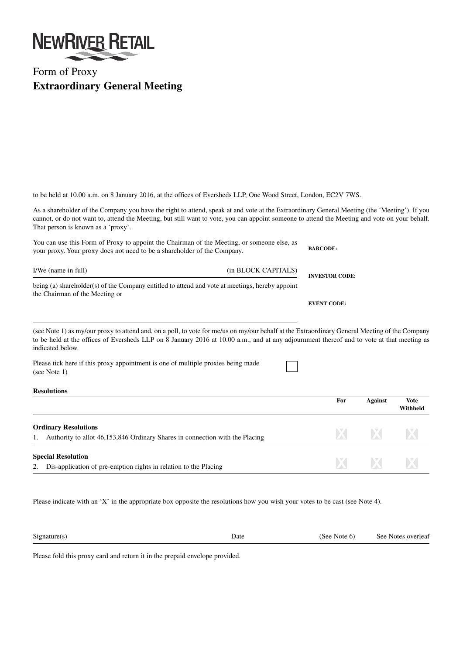

## Form of Proxy **Extraordinary General Meeting**

to be held at 10.00 a.m. on 8 January 2016, at the offices of Eversheds LLP, One Wood Street, London, EC2V 7WS.

As a shareholder of the Company you have the right to attend, speak at and vote at the Extraordinary General Meeting (the 'Meeting'). If you cannot, or do not want to, attend the Meeting, but still want to vote, you can appoint someone to attend the Meeting and vote on your behalf. That person is known as a 'proxy'.

| You can use this Form of Proxy to appoint the Chairman of the Meeting, or someone else, as<br>your proxy. Your proxy does not need to be a shareholder of the Company. |                     | <b>BARCODE:</b>       |  |
|------------------------------------------------------------------------------------------------------------------------------------------------------------------------|---------------------|-----------------------|--|
| I/We (name in full)                                                                                                                                                    | (in BLOCK CAPITALS) | <b>INVESTOR CODE:</b> |  |
| being (a) shareholder(s) of the Company entitled to attend and vote at meetings, hereby appoint<br>the Chairman of the Meeting or                                      |                     | <b>EVENT CODE:</b>    |  |
|                                                                                                                                                                        |                     |                       |  |

(see Note 1) as my/our proxy to attend and, on a poll, to vote for me/us on my/our behalf at the Extraordinary General Meeting of the Company to be held at the offices of Eversheds LLP on 8 January 2016 at 10.00 a.m., and at any adjournment thereof and to vote at that meeting as indicated below.

Please tick here if this proxy appointment is one of multiple proxies being made (see Note 1)

| <b>Resolutions</b> |
|--------------------|
|--------------------|

|                                                                                                             | For | Against  | <b>Vote</b><br>Withheld |
|-------------------------------------------------------------------------------------------------------------|-----|----------|-------------------------|
| <b>Ordinary Resolutions</b><br>Authority to allot 46,153,846 Ordinary Shares in connection with the Placing | X.  | X        | X                       |
| <b>Special Resolution</b>                                                                                   |     |          |                         |
| Dis-application of pre-emption rights in relation to the Placing<br>2.                                      | XI  | <b>X</b> | X                       |

Please indicate with an 'X' in the appropriate box opposite the resolutions how you wish your votes to be cast (see Note 4).

| $\sim$<br>Signature | Date | overleaf<br><b>Notes</b><br>See |
|---------------------|------|---------------------------------|
|                     |      |                                 |

Please fold this proxy card and return it in the prepaid envelope provided.